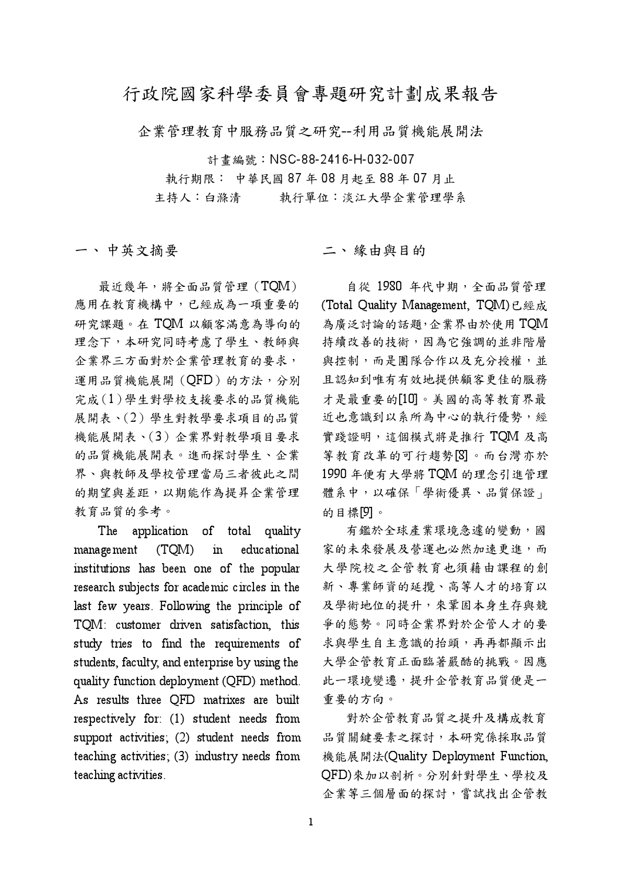## 行政院國家科學委員會專題研究計劃成果報告

企業管理教育中服務品質之研究 -- 利用品質機能展開法

計書編號: NSC-88-2416-H-032-007 執行期限: 中華民國 87年08月起至88年07月止 執行單位:淡江大學企業管理學系 主持人:白滌清

一、中英文摘要

最近幾年,將全面品質管理(TOM) 應用在教育機構中,已經成為一項重要的 研究課題。在TQM 以顧客滿意為導向的 理念下,本研究同時考慮了學生、教師與 企業界三方面對於企業管理教育的要求, 運用品質機能展開(QFD)的方法,分別 完成(1)學生對學校支援要求的品質機能 展開表、(2)學生對教學要求項目的品質 機能展開表、(3)企業界對教學項目要求 的品質機能展開表。進而探討學生、企業 界、與教師及學校管理當局三者彼此之間 的期望與差距,以期能作為提昇企業管理 教育品質的參考。

The application of total quality  $m$ anagement  $(TQM)$  $in$ educational institutions has been one of the popular research subjects for academic circles in the last few years. Following the principle of TOM: customer driven satisfaction, this study tries to find the requirements of students, faculty, and enterprise by using the quality function deployment (QFD) method. As results three QFD matrixes are built respectively for: (1) student needs from support activities; (2) student needs from teaching activities; (3) industry needs from teaching activities.

二、緣由與目的

自從 1980 年代中期,全面品質管理 (Total Quality Management, TQM)已經成 為廣泛討論的話題,企業界由於使用TQM 持續改善的技術,因為它強調的並非階層 與控制,而是團隊合作以及充分授權,並 且認知到唯有有效地提供顧客更佳的服務 才是最重要的[10]。美國的高等教育界最 近也意識到以系所為中心的執行優勢,經 實踐證明,這個模式將是推行 TQM 及高 等教育改革的可行趨勢[8]。而台灣亦於 1990 年便有大學將 TOM 的理念引進管理 體系中,以確保「學術優異、品質保證」 的目標[9]。

有鑑於全球產業環境急遽的變動,國 家的未來發展及營運也必然加速更進,而 大學院校之企管教育也須藉由課程的創 新、專業師資的延攬、高等人才的培育以 及學術地位的提升,來鞏固本身生存與競 爭的熊勢。同時企業界對於企管人才的要 求與學生自主意識的抬頭,再再都顯示出 大學企管教育正面臨著嚴酷的挑戰。因應 此一環境變遷,提升企管教育品質便是一 重要的方向。

對於企管教育品質之提升及構成教育 品質關鍵要素之探討,本研究係採取品質 機能展開法(Quality Deployment Function, QFD)來加以剖析。分別針對學生、學校及 企業等三個層面的探討,嘗試找出企管教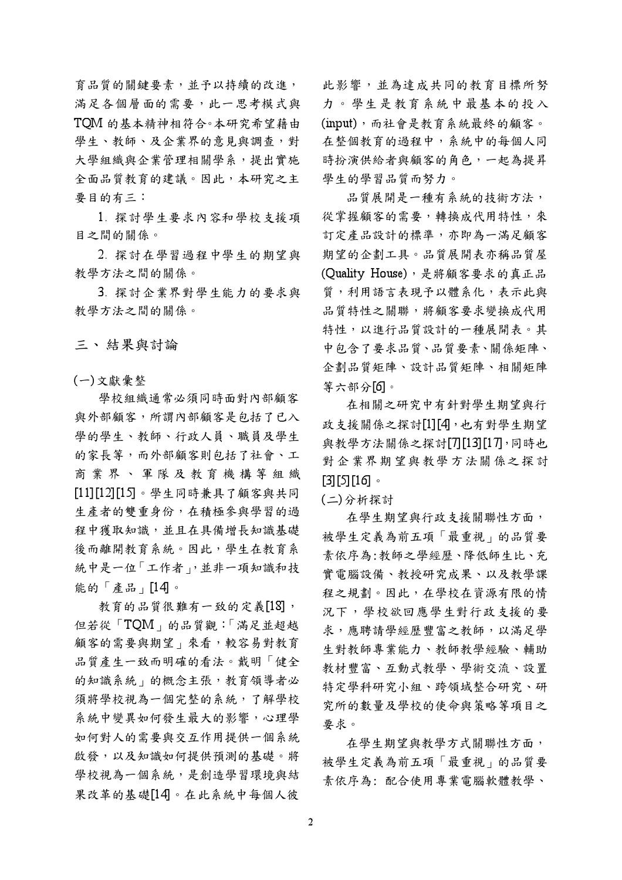育品質的關鍵要素,並予以持續的改進, 滿足各個層面的需要,此一思考模式與 TOM 的基本精神相符合。本研究希望藉由 學生、教師、及企業界的意見與調查,對 大學組織與企業管理相關學系,提出實施 全面品質教育的建議。因此,本研究之主 要目的有三:

1. 探討學生要求內容和學校支援項 目之間的關係。

2. 探討在學習過程中學生的期望與 教學方法之間的關係。

3. 探討企業界對學生能力的要求與 教學方法之間的關係。

三、結果與計論

(一)文獻彙整

學校組織通常必須同時面對內部顧客 與外部顧客,所謂內部顧客是包括了已入 學的學生、教師、行政人員、職員及學生 的家長等,而外部顧客則包括了社會、工 商業界、軍隊及教育機構等組織 [11][12][15]。學生同時兼具了顧客與共同 生產者的雙重身份,在積極參與學習的過 程中獲取知識,並且在具備增長知識基礎 後而離開教育系統。因此,學生在教育系 統中是一位「工作者」,並非一項知識和技 能的「產品」[14]。

教育的品質很難有一致的定義[18], 但若從「TQM」的品質觀:「滿足並超越 顧客的需要與期望」來看,較容易對教育 品質產生一致而明確的看法。戴明「健全 的知識系統」的概念主張,教育領導者必 須將學校視為一個完整的系統,了解學校 系統中變異如何發生最大的影響,心理學 如何對人的需要與交互作用提供一個系統 啟發,以及知識如何提供預測的基礎。將 學校視為一個系統,是創造學習環境與結 果改革的基礎[14]。在此系統中每個人彼

此影響,並為達成共同的教育目標所努 力。學生是教育系統中最基本的投入 (input), 而社會是教育系統最終的顧客。 在整個教育的過程中,系統中的每個人同 時扮演供給者與顧客的角色,一起為提昇 學生的學習品質而努力。

品質展開是一種有系統的技術方法, 從掌握顧客的需要,轉換成代用特性,來 訂定產品設計的標準,亦即為一滿足顧客 期望的企劃工具。品質展開表亦稱品質屋 (Quality House), 是將顧客要求的真正品 質,利用語言表現予以體系化,表示此與 品質特性之關聯,將顧客要求變換成代用 特性,以進行品質設計的一種展開表。其 中包含了要求品質、品質要素、關係矩陣、 企劃品質矩陣、設計品質矩陣、相關矩陣 等六部分[6]。

在相關之研究中有針對學生期望與行 政支援關係之探討[1][4],也有對學生期望 與教學方法關係之探討[7][13][17],同時也 對企業界期望與教學方法關係之探討  $[3] [5] [16]$ 

(二)分析探討

在學生期望與行政支援關聯性方面, 被學生定義為前五項「最重視」的品質要 素依序為:教師之學經歷、降低師生比、充 實電腦設備、教授研究成果、以及教學課 程之規劃。因此,在學校在資源有限的情 況下,學校欲回應學生對行政支援的要 求,應聘請學經歷豐富之教師,以滿足學 生對教師專業能力、教師教學經驗、輔助 教材豐富、互動式教學、學術交流、設置 特定學科研究小組、跨領域整合研究、研 究所的數量及學校的使命與策略等項目之 要求。

在學生期望與教學方式關聯性方面, 被學生定義為前五項「最重視」的品質要 素依序為: 配合使用專業電腦軟體教學、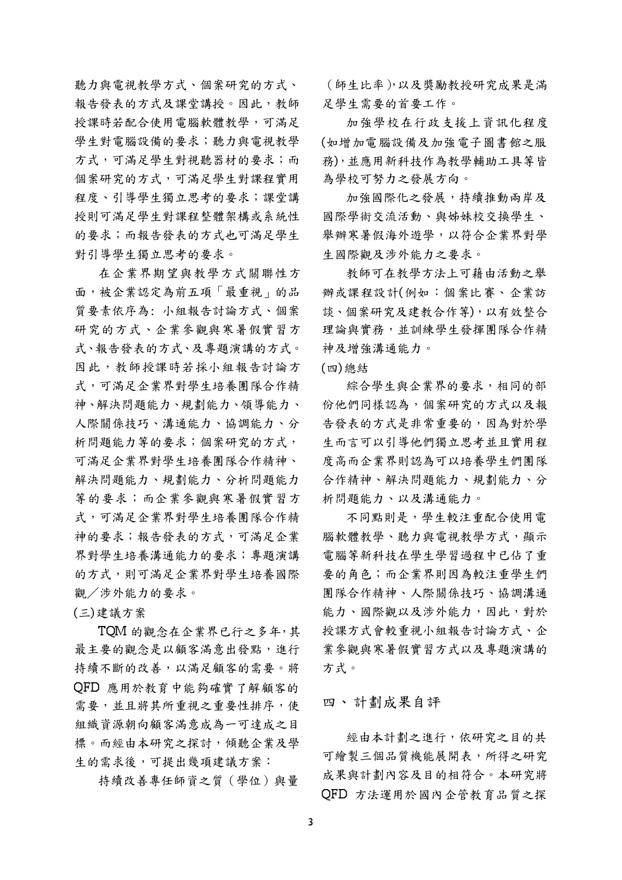聽力與電視教學方式、個案研究的方式、 報告發表的方式及課堂講授。因此,教師 授課時若配合使用雷腦軟體教學,可滿足 學生對電腦設備的要求;聽力與電視教學 方式,可滿足學生對視聽器材的要求;而 個案研究的方式,可滿足學生對課程實用 程度、引導學生獨立思考的要求;課堂講 授則可滿足學生對課程整體架構或系統性 的要求;而報告發表的方式也可滿足學生 對引導學生獨立思考的要求。

在企業界期望與教學方式關聯性方 面,被企業認定為前五項「最重視」的品 質要素依序為: 小組報告討論方式、個案 研究的方式、企業參觀與寒暑假實習方 式、報告發表的方式、及專題演講的方式。 因此,教師授課時若採小組報告討論方 式,可滿足企業界對學生培養團隊合作精 神、解決問題能力、規劃能力、領導能力、 人際關係技巧、溝通能力、協調能力、分 析問題能力等的要求;個案研究的方式, 可滿足企業界對學生培養團隊合作精神、 解決問題能力、規劃能力、分析問題能力 等的要求;而企業參觀與寒暑假實習方 式,可滿足企業界對學生培養團隊合作精 神的要求;報告發表的方式,可滿足企業 界對學生培養溝通能力的要求;專題演講 的方式,則可滿足企業界對學生培養國際 觀/涉外能力的要求。

(三)建議方案

TQM 的觀念在企業界已行之多年,其 最主要的觀念是以顧客滿意出發點,進行 持續不斷的改善,以滿足顧客的需要。將 QFD 應用於教育中能夠確實了解顧客的 需要,並且將其所重視之重要性排序,使 組織資源朝向顧客滿意成為一可達成之目 標。而經由本研究之探討,傾聽企業及學 生的需求後,可提出幾項建議方案:

持續改善專任師資之質(學位)與量

(師生比率),以及獎勵教授研究成果是滿 足學生需要的首要工作。

加強學校在行政支援上資訊化程度 (如增加電腦設備及加強電子圖書館之服 務),並應用新科技作為教學輔助工具等皆 為學校可努力之發展方向。

加強國際化之發展,持續推動兩岸及 國際學術交流活動、與姊妹校交換學生、 舉辦寒暑假海外遊學,以符合企業界對學 生國際觀及涉外能力之要求。

教師可在教學方法上可藉由活動之舉 辦或課程設計(例如:個案比賽、企業訪 談、個案研究及建教合作等),以有效整合 理論與實務,並訓練學生發揮團隊合作精 神及增強溝通能力。

(四) 總結

綜合學生與企業界的要求,相同的部 份他們同樣認為,個案研究的方式以及報 告發表的方式是非常重要的,因為對於學 生而言可以引導他們獨立思考並且實用程 度高而企業界則認為可以培養學生們團隊 合作精神、解決問題能力、規劃能力、分 析問題能力、以及溝通能力。

不同點則是,學生較注重配合使用電 腦軟體教學、聽力與電視教學方式,顯示 電腦等新科技在學生學習過程中已佔了重 要的角色;而企業界則因為較注重學生們 團隊合作精神、人際關係技巧、協調溝通 能力、國際觀以及涉外能力,因此,對於 授課方式會較重視小組報告討論方式、企 業參觀與寒暑假實習方式以及專題演講的 方式。

四、計劃成果自評

經由本計劃之進行,依研究之目的共 可繪製三個品質機能展開表,所得之研究 成果與計劃內容及目的相符合。本研究將 OFD 方法運用於國內企管教育品質之探